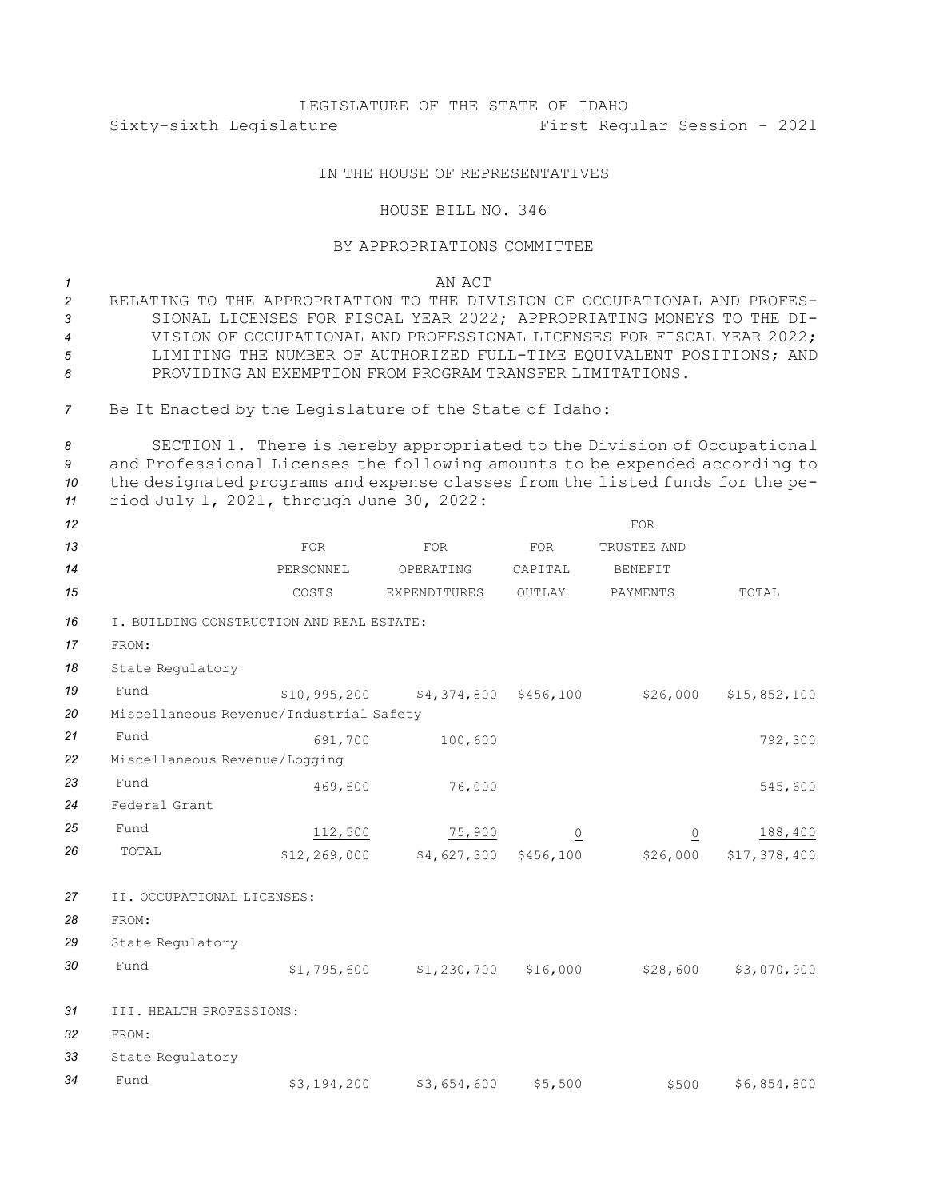## LEGISLATURE OF THE STATE OF IDAHO Sixty-sixth Legislature First Regular Session - 2021

## IN THE HOUSE OF REPRESENTATIVES

## HOUSE BILL NO. 346

## BY APPROPRIATIONS COMMITTEE

*1* AN ACT

 RELATING TO THE APPROPRIATION TO THE DIVISION OF OCCUPATIONAL AND PROFES- SIONAL LICENSES FOR FISCAL YEAR 2022; APPROPRIATING MONEYS TO THE DI- VISION OF OCCUPATIONAL AND PROFESSIONAL LICENSES FOR FISCAL YEAR 2022; LIMITING THE NUMBER OF AUTHORIZED FULL-TIME EQUIVALENT POSITIONS; AND PROVIDING AN EXEMPTION FROM PROGRAM TRANSFER LIMITATIONS.

*<sup>7</sup>* Be It Enacted by the Legislature of the State of Idaho:

 SECTION 1. There is hereby appropriated to the Division of Occupational and Professional Licenses the following amounts to be expended according to the designated programs and expense classes from the listed funds for the pe-riod July 1, 2021, through June 30, 2022:

| 12 |                                           |                |                                       |                | <b>FOR</b>     |              |  |  |  |  |  |  |
|----|-------------------------------------------|----------------|---------------------------------------|----------------|----------------|--------------|--|--|--|--|--|--|
| 13 |                                           | <b>FOR</b>     | FOR                                   | FOR            | TRUSTEE AND    |              |  |  |  |  |  |  |
| 14 |                                           | PERSONNEL      | OPERATING                             | CAPITAL        | <b>BENEFIT</b> |              |  |  |  |  |  |  |
| 15 |                                           | COSTS          | EXPENDITURES                          | OUTLAY         | PAYMENTS       | TOTAL        |  |  |  |  |  |  |
| 16 | I. BUILDING CONSTRUCTION AND REAL ESTATE: |                |                                       |                |                |              |  |  |  |  |  |  |
| 17 | FROM:                                     |                |                                       |                |                |              |  |  |  |  |  |  |
| 18 | State Regulatory                          |                |                                       |                |                |              |  |  |  |  |  |  |
| 19 | Fund                                      |                | $$10,995,200$ $$4,374,800$ $$456,100$ |                | \$26,000       | \$15,852,100 |  |  |  |  |  |  |
| 20 | Miscellaneous Revenue/Industrial Safety   |                |                                       |                |                |              |  |  |  |  |  |  |
| 21 | Fund                                      | 691,700        | 100,600                               |                |                | 792,300      |  |  |  |  |  |  |
| 22 | Miscellaneous Revenue/Logging             |                |                                       |                |                |              |  |  |  |  |  |  |
| 23 | Fund                                      | 469,600        | 76,000                                |                |                | 545,600      |  |  |  |  |  |  |
| 24 | Federal Grant                             |                |                                       |                |                |              |  |  |  |  |  |  |
| 25 | Fund                                      | 112,500        | 75,900                                | $\overline{0}$ | Q              | 188,400      |  |  |  |  |  |  |
| 26 | TOTAL                                     | \$12, 269, 000 | \$4,627,300 \$456,100                 |                | \$26,000       | \$17,378,400 |  |  |  |  |  |  |
| 27 | II. OCCUPATIONAL LICENSES:                |                |                                       |                |                |              |  |  |  |  |  |  |
| 28 | FROM:                                     |                |                                       |                |                |              |  |  |  |  |  |  |
| 29 | State Regulatory                          |                |                                       |                |                |              |  |  |  |  |  |  |
| 30 | Fund                                      | \$1,795,600    | $$1,230,700$ $$16,000$                |                | \$28,600       | \$3,070,900  |  |  |  |  |  |  |
| 31 | III. HEALTH PROFESSIONS:                  |                |                                       |                |                |              |  |  |  |  |  |  |
| 32 | FROM:                                     |                |                                       |                |                |              |  |  |  |  |  |  |
| 33 | State Regulatory                          |                |                                       |                |                |              |  |  |  |  |  |  |
| 34 | Fund                                      | \$3,194,200    | \$3,654,600                           | \$5,500        | \$500          | \$6,854,800  |  |  |  |  |  |  |